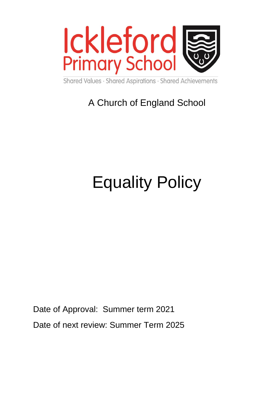

Shared Values · Shared Aspirations · Shared Achievements

# A Church of England School

# Equality Policy

Date of Approval: Summer term 2021 Date of next review: Summer Term 2025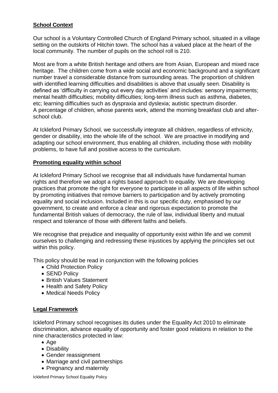#### **School Context**

Our school is a Voluntary Controlled Church of England Primary school, situated in a village setting on the outskirts of Hitchin town. The school has a valued place at the heart of the local community. The number of pupils on the school roll is 210.

Most are from a white British heritage and others are from Asian, European and mixed race heritage. The children come from a wide social and economic background and a significant number travel a considerable distance from surrounding areas. The proportion of children with identified learning difficulties and disabilities is above that usually seen. Disability is defined as 'difficulty in carrying out every day activities' and includes: sensory impairments; mental health difficulties; mobility difficulties; long-term illness such as asthma, diabetes, etc; learning difficulties such as dyspraxia and dyslexia; autistic spectrum disorder. A percentage of children, whose parents work, attend the morning breakfast club and afterschool club.

At Ickleford Primary School, we successfully integrate all children, regardless of ethnicity, gender or disability, into the whole life of the school. We are proactive in modifying and adapting our school environment, thus enabling all children, including those with mobility problems, to have full and positive access to the curriculum.

#### **Promoting equality within school**

At Ickleford Primary School we recognise that all individuals have fundamental human rights and therefore we adopt a rights based approach to equality. We are developing practices that promote the right for everyone to participate in all aspects of life within school by promoting initiatives that remove barriers to participation and by actively promoting equality and social inclusion. Included in this is our specific duty, emphasised by our government, to create and enforce a clear and rigorous expectation to promote the fundamental British values of democracy, the rule of law, individual liberty and mutual respect and tolerance of those with different faiths and beliefs.

We recognise that prejudice and inequality of opportunity exist within life and we commit ourselves to challenging and redressing these injustices by applying the principles set out within this policy.

This policy should be read in conjunction with the following policies

- Child Protection Policy
- SEND Policy
- British Values Statement
- Health and Safety Policy
- Medical Needs Policy

#### **Legal Framework**

Ickleford Primary school recognises its duties under the Equality Act 2010 to eliminate discrimination, advance equality of opportunity and foster good relations in relation to the nine characteristics protected in law:

- Age
- Disability
- Gender reassignment
- Marriage and civil partnerships
- Pregnancy and maternity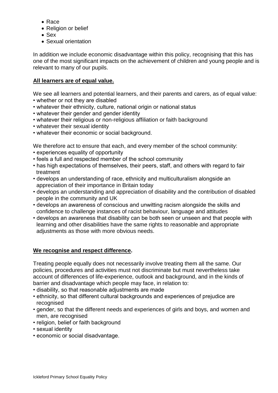- Race
- Religion or belief
- Sex
- Sexual orientation

In addition we include economic disadvantage within this policy, recognising that this has one of the most significant impacts on the achievement of children and young people and is relevant to many of our pupils.

#### **All learners are of equal value.**

We see all learners and potential learners, and their parents and carers, as of equal value:

- whether or not they are disabled
- whatever their ethnicity, culture, national origin or national status
- whatever their gender and gender identity
- whatever their religious or non-religious affiliation or faith background
- whatever their sexual identity
- whatever their economic or social background.

We therefore act to ensure that each, and every member of the school community:

- experiences equality of opportunity
- feels a full and respected member of the school community
- has high expectations of themselves, their peers, staff, and others with regard to fair treatment
- develops an understanding of race, ethnicity and multiculturalism alongside an appreciation of their importance in Britain today
- develops an understanding and appreciation of disability and the contribution of disabled people in the community and UK
- develops an awareness of conscious and unwitting racism alongside the skills and confidence to challenge instances of racist behaviour, language and attitudes
- develops an awareness that disability can be both seen or unseen and that people with learning and other disabilities have the same rights to reasonable and appropriate adjustments as those with more obvious needs.

#### **We recognise and respect difference.**

Treating people equally does not necessarily involve treating them all the same. Our policies, procedures and activities must not discriminate but must nevertheless take account of differences of life-experience, outlook and background, and in the kinds of barrier and disadvantage which people may face, in relation to:

- disability, so that reasonable adjustments are made
- ethnicity, so that different cultural backgrounds and experiences of prejudice are recognised
- gender, so that the different needs and experiences of girls and boys, and women and men, are recognised
- religion, belief or faith background
- sexual identity
- economic or social disadvantage.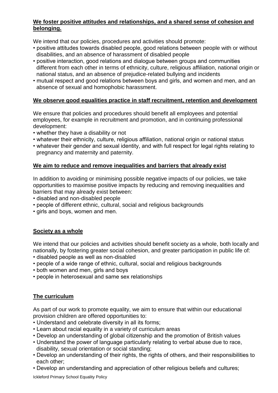#### **We foster positive attitudes and relationships, and a shared sense of cohesion and belonging.**

We intend that our policies, procedures and activities should promote:

- positive attitudes towards disabled people, good relations between people with or without disabilities, and an absence of harassment of disabled people
- positive interaction, good relations and dialogue between groups and communities different from each other in terms of ethnicity, culture, religious affiliation, national origin or national status, and an absence of prejudice-related bullying and incidents
- mutual respect and good relations between boys and girls, and women and men, and an absence of sexual and homophobic harassment.

#### **We observe good equalities practice in staff recruitment, retention and development**

We ensure that policies and procedures should benefit all employees and potential employees, for example in recruitment and promotion, and in continuing professional development:

- whether they have a disability or not
- whatever their ethnicity, culture, religious affiliation, national origin or national status
- whatever their gender and sexual identity, and with full respect for legal rights relating to pregnancy and maternity and paternity.

#### **We aim to reduce and remove inequalities and barriers that already exist**

In addition to avoiding or minimising possible negative impacts of our policies, we take opportunities to maximise positive impacts by reducing and removing inequalities and barriers that may already exist between:

- disabled and non-disabled people
- people of different ethnic, cultural, social and religious backgrounds
- girls and boys, women and men.

#### **Society as a whole**

We intend that our policies and activities should benefit society as a whole, both locally and nationally, by fostering greater social cohesion, and greater participation in public life of:

- disabled people as well as non-disabled
- people of a wide range of ethnic, cultural, social and religious backgrounds
- both women and men, girls and boys
- people in heterosexual and same sex relationships

#### **The curriculum**

As part of our work to promote equality, we aim to ensure that within our educational provision children are offered opportunities to:

- Understand and celebrate diversity in all its forms;
- Learn about racial equality in a variety of curriculum areas
- Develop an understanding of global citizenship and the promotion of British values
- Understand the power of language particularly relating to verbal abuse due to race, disability, sexual orientation or social standing;
- Develop an understanding of their rights, the rights of others, and their responsibilities to each other;
- Develop an understanding and appreciation of other religious beliefs and cultures;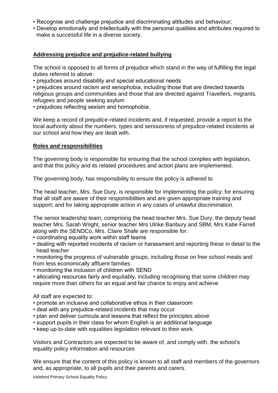- Recognise and challenge prejudice and discriminating attitudes and behaviour;
- Develop emotionally and intellectually with the personal qualities and attributes required to make a successful life in a diverse society.

#### **Addressing prejudice and prejudice-related bullying**

The school is opposed to all forms of prejudice which stand in the way of fulfilling the legal duties referred to above:

• prejudices around disability and special educational needs

• prejudices around racism and xenophobia, including those that are directed towards religious groups and communities and those that are directed against Travellers, migrants, refugees and people seeking asylum

• prejudices reflecting sexism and homophobia.

We keep a record of prejudice-related incidents and, if requested, provide a report to the local authority about the numbers, types and seriousness of prejudice-related incidents at our school and how they are dealt with.

#### **Roles and responsibilities**

The governing body is responsible for ensuring that the school complies with legislation, and that this policy and its related procedures and action plans are implemented.

The governing body, has responsibility to ensure the policy is adhered to

The head teacher, Mrs. Sue Dury, is responsible for implementing the policy; for ensuring that all staff are aware of their responsibilities and are given appropriate training and support; and for taking appropriate action in any cases of unlawful discrimination.

The senior leadership team, comprising the head teacher Mrs. Sue Dury, the deputy head teacher Mrs. Sarah Wright, senior teacher Mrs Ulrike Banbury and SBM, Mrs Katie Farrell along with the SENDCo, Mrs. Claire Shafe are responsible for:

- coordinating equality work within staff teams
- dealing with reported incidents of racism or harassment and reporting these in detail to the head teacher
- monitoring the progress of vulnerable groups, including those on free school meals and from less economically affluent families
- monitoring the inclusion of children with SEND

• allocating resources fairly and equitably, including recognising that some children may require more than others for an equal and fair chance to enjoy and achieve

All staff are expected to:

- promote an inclusive and collaborative ethos in their classroom
- deal with any prejudice-related incidents that may occur
- plan and deliver curricula and lessons that reflect the principles above
- support pupils in their class for whom English is an additional language
- keep up-to-date with equalities legislation relevant to their work.

Visitors and Contractors are expected to be aware of, and comply with, the school's equality policy information and resources

We ensure that the content of this policy is known to all staff and members of the governors and, as appropriate, to all pupils and their parents and carers.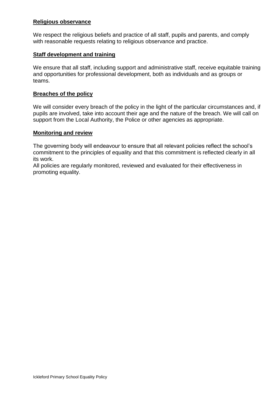#### **Religious observance**

We respect the religious beliefs and practice of all staff, pupils and parents, and comply with reasonable requests relating to religious observance and practice.

#### **Staff development and training**

We ensure that all staff, including support and administrative staff, receive equitable training and opportunities for professional development, both as individuals and as groups or teams.

#### **Breaches of the policy**

We will consider every breach of the policy in the light of the particular circumstances and, if pupils are involved, take into account their age and the nature of the breach. We will call on support from the Local Authority, the Police or other agencies as appropriate.

#### **Monitoring and review**

The governing body will endeavour to ensure that all relevant policies reflect the school's commitment to the principles of equality and that this commitment is reflected clearly in all its work.

All policies are regularly monitored, reviewed and evaluated for their effectiveness in promoting equality.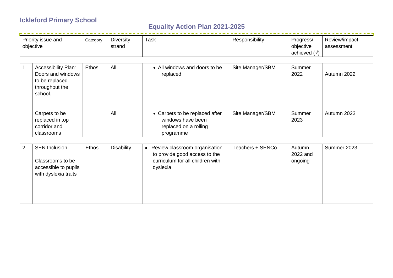## **Ickleford Primary School**

### **Equality Action Plan 2021-2025**

| Priority issue and | Category | <b>Diversity</b> | $-$<br>Γask | Responsibility | Progress/ | Review/impact |
|--------------------|----------|------------------|-------------|----------------|-----------|---------------|
| objective          |          | strand           |             |                | objective | assessment    |
|                    |          |                  |             |                | achieved  |               |

| <b>Accessibility Plan:</b><br>Doors and windows<br>to be replaced<br>throughout the<br>school. | Ethos | All | • All windows and doors to be<br>replaced                                                 | Site Manager/SBM | Summer<br>2022 | Autumn 2022 |
|------------------------------------------------------------------------------------------------|-------|-----|-------------------------------------------------------------------------------------------|------------------|----------------|-------------|
| Carpets to be<br>replaced in top<br>corridor and<br>classrooms                                 |       | All | • Carpets to be replaced after<br>windows have been<br>replaced on a rolling<br>programme | Site Manager/SBM | Summer<br>2023 | Autumn 2023 |

| 2 | <b>SEN Inclusion</b><br>Classrooms to be<br>accessible to pupils<br>with dyslexia traits | Ethos | <b>Disability</b> | • Review classroom organisation<br>to provide good access to the<br>curriculum for all children with<br>dyslexia | Teachers + SENCo | Autumn<br>2022 and<br>ongoing | Summer 2023 |
|---|------------------------------------------------------------------------------------------|-------|-------------------|------------------------------------------------------------------------------------------------------------------|------------------|-------------------------------|-------------|
|---|------------------------------------------------------------------------------------------|-------|-------------------|------------------------------------------------------------------------------------------------------------------|------------------|-------------------------------|-------------|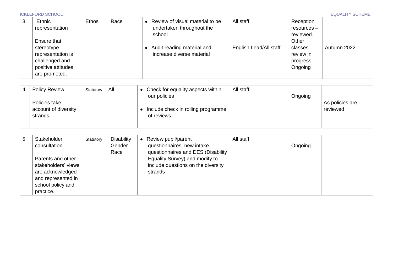| 3 | Ethnic<br>representation                                                                                | <b>Ethos</b> | Race | • Review of visual material to be<br>undertaken throughout the<br>school | All staff              | Reception<br>resources –<br>reviewed.                   |             |
|---|---------------------------------------------------------------------------------------------------------|--------------|------|--------------------------------------------------------------------------|------------------------|---------------------------------------------------------|-------------|
|   | Ensure that<br>stereotype<br>representation is<br>challenged and<br>positive attitudes<br>are promoted. |              |      | • Audit reading material and<br>increase diverse material                | English Lead/All staff | Other<br>classes -<br>review in<br>progress.<br>Ongoing | Autumn 2022 |

| <b>Policy Review</b> | Statutory | All | Check for equality aspects within  | All staff |         |                 |
|----------------------|-----------|-----|------------------------------------|-----------|---------|-----------------|
|                      |           |     | our policies                       |           | Ongoing |                 |
| Policies take        |           |     |                                    |           |         | As policies are |
| account of diversity |           |     | Include check in rolling programme |           |         | reviewed        |
| strands.             |           |     | of reviews                         |           |         |                 |
|                      |           |     |                                    |           |         |                 |

| 5 | Stakeholder<br>consultation<br>Parents and other<br>stakeholders' views<br>are acknowledged<br>and represented in<br>school policy and | Statutory | Disability<br>Gender<br>Race | Review pupil/parent<br>questionnaires, new intake<br>questionnaires and DES (Disability<br>Equality Survey) and modify to<br>include questions on the diversity<br>strands | All staff | Ongoing |  |
|---|----------------------------------------------------------------------------------------------------------------------------------------|-----------|------------------------------|----------------------------------------------------------------------------------------------------------------------------------------------------------------------------|-----------|---------|--|
|   | practice.                                                                                                                              |           |                              |                                                                                                                                                                            |           |         |  |